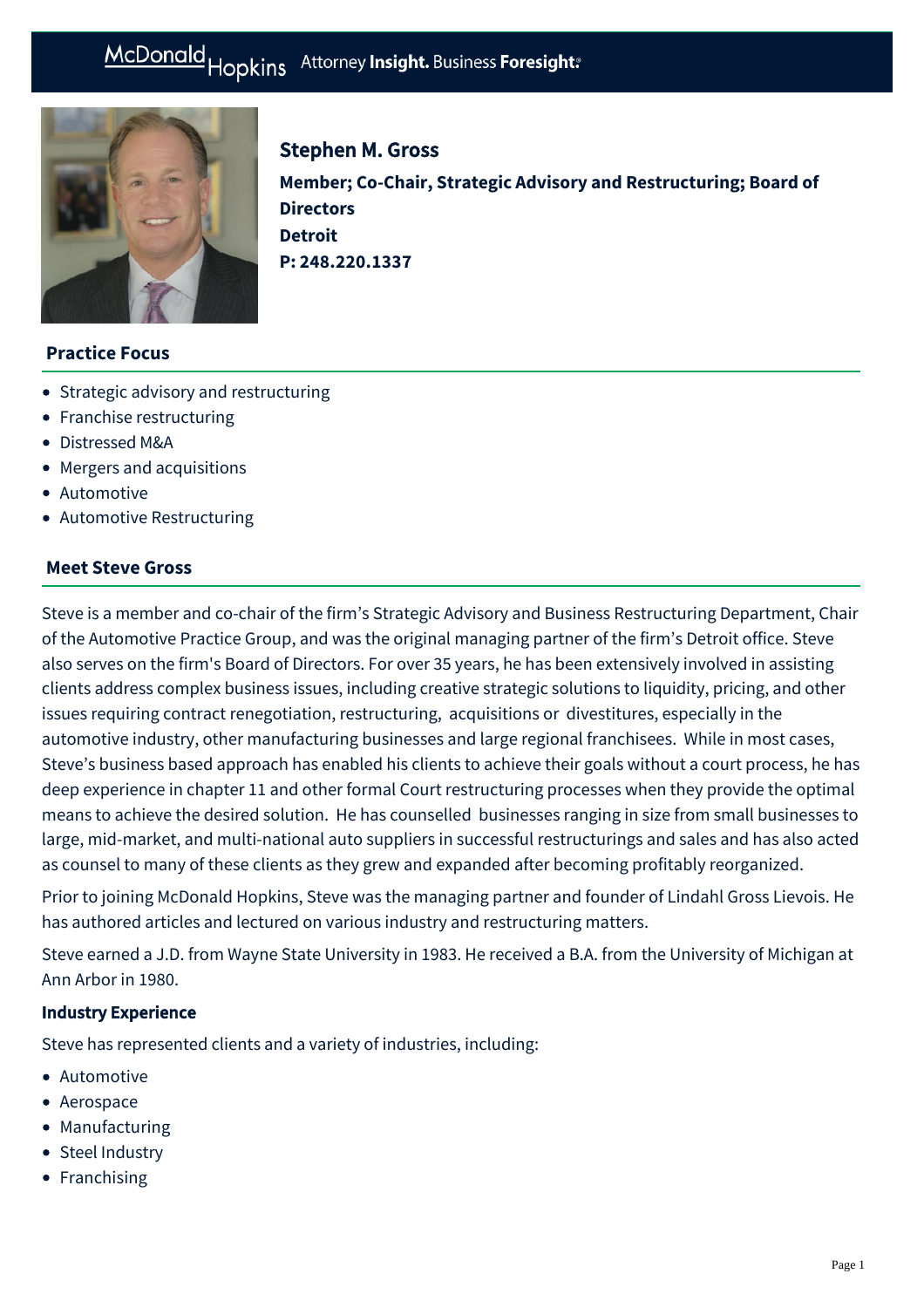# McDonald Hopkins Attorney Insight. Business Foresight:



# Stephen M. Gross

**Member; Co-Chair, Strategic Advisory and Restructuring; Board of Directors Detroit P: [248.220.1337](tel:248.220.1337)**

## **Practice Focus**

- [Strategic advisory and restructuring](https://mcdonaldhopkins.com/Expertise/Strategic-advisory-and-restructuring)
- [Franchise restructuring](https://mcdonaldhopkins.com/Expertise/Strategic-advisory-and-restructuring/Franchise-restructuring)
- [Distressed M&A](https://mcdonaldhopkins.com/Expertise/Strategic-advisory-and-restructuring/Distressed-M-A)
- [Mergers and acquisitions](https://mcdonaldhopkins.com/Expertise/Mergers-and-acquisitions)
- [Automotive](https://mcdonaldhopkins.com/Expertise/Industries/Automotive)
- [Automotive Restructuring](https://mcdonaldhopkins.com/Expertise/Strategic-advisory-and-restructuring/Automotive-Restructuring)

### **Meet Steve Gross**

Steve is a member and co-chair of the firm's Strategic Advisory and Business Restructuring Department, Chair of the Automotive Practice Group, and was the original managing partner of the firm's Detroit office. Steve also serves on the firm's Board of Directors. For over 35 years, he has been extensively involved in assisting clients address complex business issues, including creative strategic solutions to liquidity, pricing, and other issues requiring contract renegotiation, restructuring, acquisitions or divestitures, especially in the automotive industry, other manufacturing businesses and large regional franchisees. While in most cases, Steve's business based approach has enabled his clients to achieve their goals without a court process, he has deep experience in chapter 11 and other formal Court restructuring processes when they provide the optimal means to achieve the desired solution. He has counselled businesses ranging in size from small businesses to large, mid-market, and multi-national auto suppliers in successful restructurings and sales and has also acted as counsel to many of these clients as they grew and expanded after becoming profitably reorganized.

Prior to joining McDonald Hopkins, Steve was the managing partner and founder of Lindahl Gross Lievois. He has authored articles and lectured on various industry and restructuring matters.

Steve earned a J.D. from Wayne State University in 1983. He received a B.A. from the University of Michigan at Ann Arbor in 1980.

## Industry Experience

Steve has represented clients and a variety of industries, including:

- Automotive
- Aerospace
- Manufacturing
- Steel Industry
- Franchising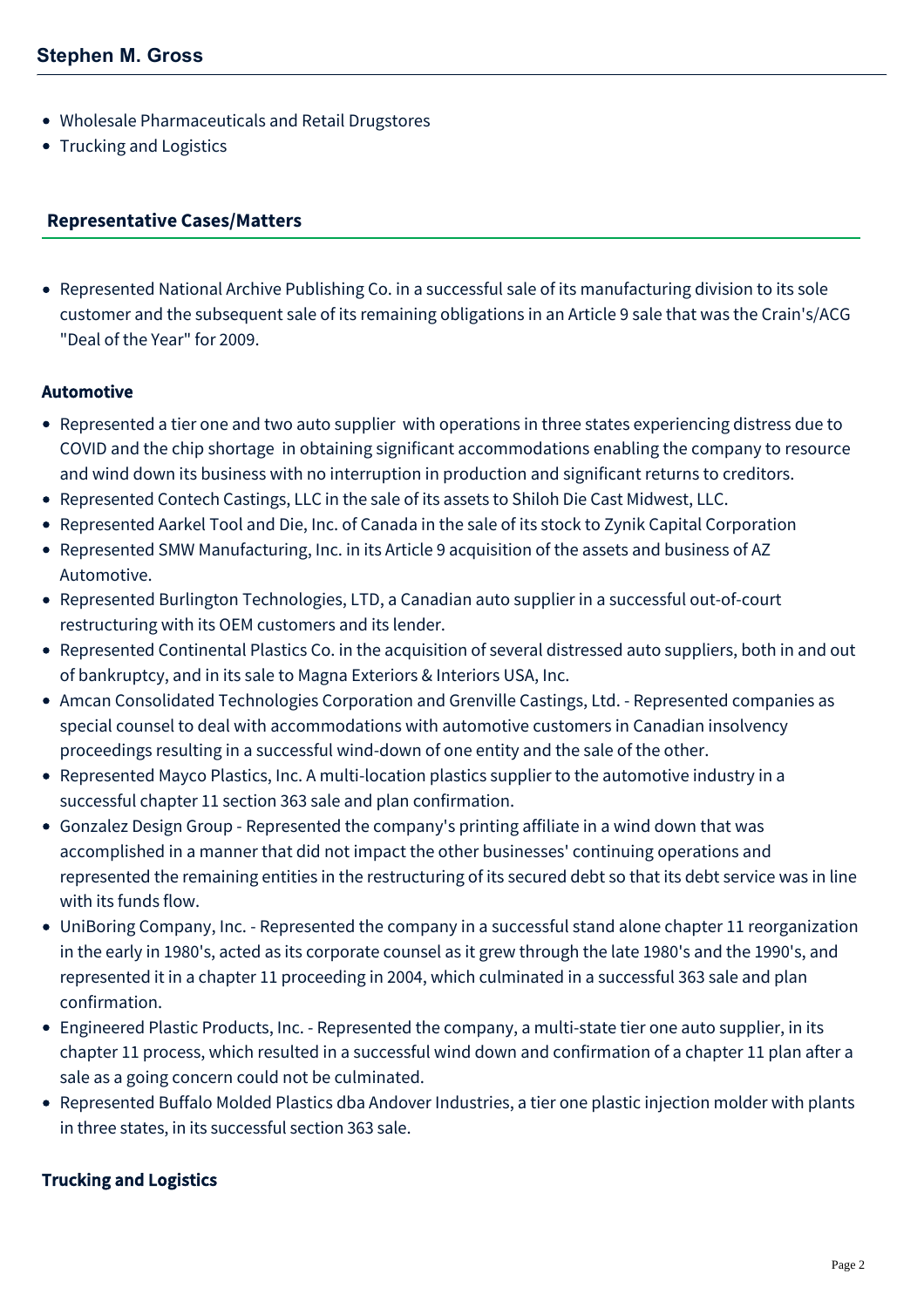- Wholesale Pharmaceuticals and Retail Drugstores
- Trucking and Logistics

#### <span id="page-1-0"></span>**[Representative Cases/Matters](#page-1-0)**

Represented National Archive Publishing Co. in a successful sale of its manufacturing division to its sole customer and the subsequent sale of its remaining obligations in an Article 9 sale that was the Crain's/ACG "Deal of the Year" for 2009.

### Automotive

- Represented a tier one and two auto supplier with operations in three states experiencing distress due to COVID and the chip shortage in obtaining significant accommodations enabling the company to resource and wind down its business with no interruption in production and significant returns to creditors.
- Represented Contech Castings, LLC in the sale of its assets to Shiloh Die Cast Midwest, LLC.
- Represented Aarkel Tool and Die, Inc. of Canada in the sale of its stock to Zynik Capital Corporation
- Represented SMW Manufacturing, Inc. in its Article 9 acquisition of the assets and business of AZ Automotive.
- Represented Burlington Technologies, LTD, a Canadian auto supplier in a successful out-of-court restructuring with its OEM customers and its lender.
- Represented Continental Plastics Co. in the acquisition of several distressed auto suppliers, both in and out of bankruptcy, and in its sale to Magna Exteriors & Interiors USA, Inc.
- Amcan Consolidated Technologies Corporation and Grenville Castings, Ltd. Represented companies as special counsel to deal with accommodations with automotive customers in Canadian insolvency proceedings resulting in a successful wind-down of one entity and the sale of the other.
- Represented Mayco Plastics, Inc. A multi-location plastics supplier to the automotive industry in a successful chapter 11 section 363 sale and plan confirmation.
- Gonzalez Design Group Represented the company's printing affiliate in a wind down that was accomplished in a manner that did not impact the other businesses' continuing operations and represented the remaining entities in the restructuring of its secured debt so that its debt service was in line with its funds flow.
- UniBoring Company, Inc. Represented the company in a successful stand alone chapter 11 reorganization in the early in 1980's, acted as its corporate counsel as it grew through the late 1980's and the 1990's, and represented it in a chapter 11 proceeding in 2004, which culminated in a successful 363 sale and plan confirmation.
- Engineered Plastic Products, Inc. Represented the company, a multi-state tier one auto supplier, in its chapter 11 process, which resulted in a successful wind down and confirmation of a chapter 11 plan after a sale as a going concern could not be culminated.
- Represented Buffalo Molded Plastics dba Andover Industries, a tier one plastic injection molder with plants in three states, in its successful section 363 sale.

## Trucking and Logistics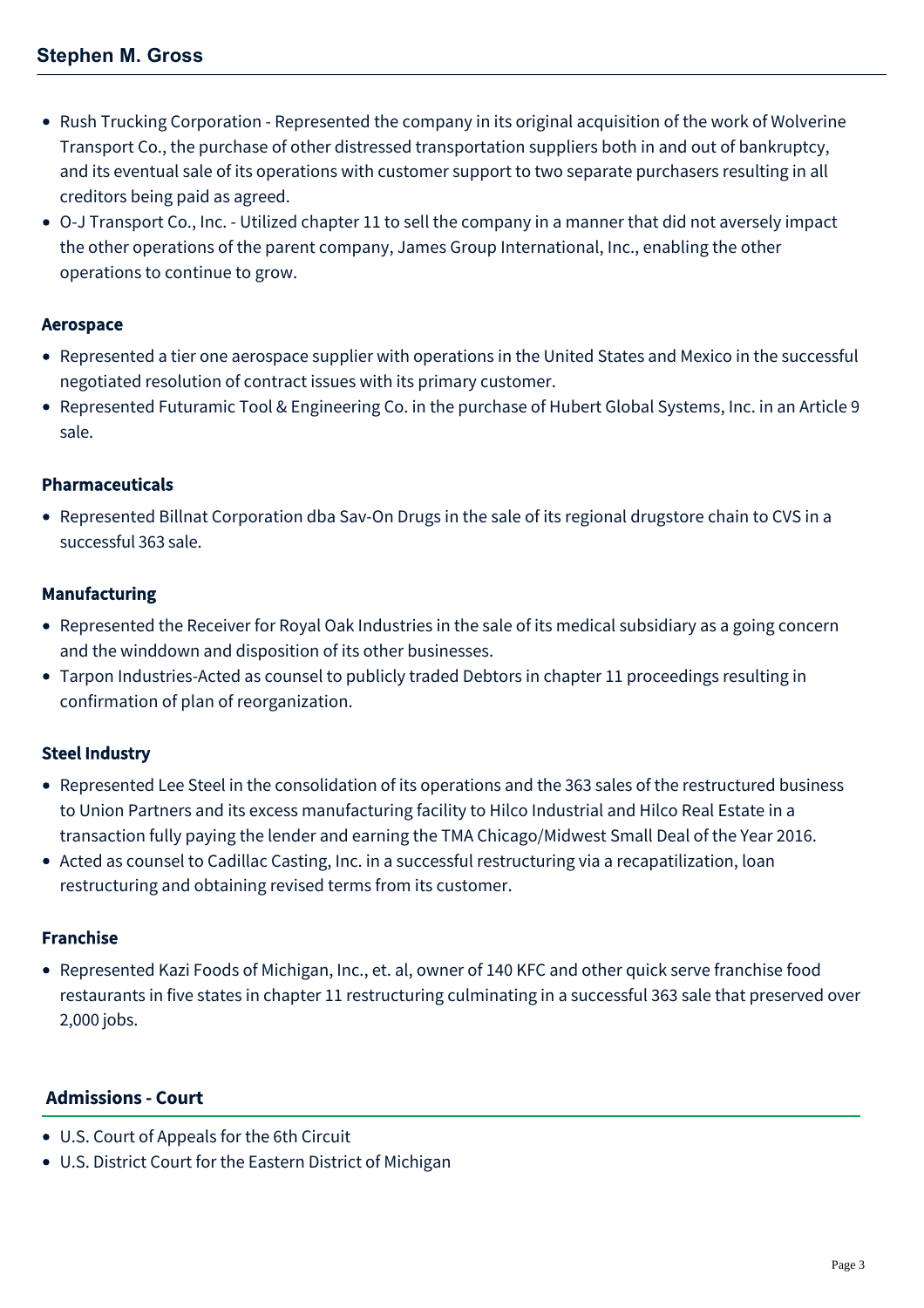- Rush Trucking Corporation Represented the company in its original acquisition of the work of Wolverine Transport Co., the purchase of other distressed transportation suppliers both in and out of bankruptcy, and its eventual sale of its operations with customer support to two separate purchasers resulting in all creditors being paid as agreed.
- O-J Transport Co., Inc. Utilized chapter 11 to sell the company in a manner that did not aversely impact the other operations of the parent company, James Group International, Inc., enabling the other operations to continue to grow.

## Aerospace

- Represented a tier one aerospace supplier with operations in the United States and Mexico in the successful negotiated resolution of contract issues with its primary customer.
- Represented Futuramic Tool & Engineering Co. in the purchase of Hubert Global Systems, Inc. in an Article 9 sale.

# Pharmaceuticals

Represented Billnat Corporation dba Sav-On Drugs in the sale of its regional drugstore chain to CVS in a successful 363 sale.

## Manufacturing

- Represented the Receiver for Royal Oak Industries in the sale of its medical subsidiary as a going concern and the winddown and disposition of its other businesses.
- Tarpon Industries-Acted as counsel to publicly traded Debtors in chapter 11 proceedings resulting in confirmation of plan of reorganization.

# Steel Industry

- Represented Lee Steel in the consolidation of its operations and the 363 sales of the restructured business to Union Partners and its excess manufacturing facility to Hilco Industrial and Hilco Real Estate in a transaction fully paying the lender and earning the TMA Chicago/Midwest Small Deal of the Year 2016.
- Acted as counsel to Cadillac Casting, Inc. in a successful restructuring via a recapatilization, loan restructuring and obtaining revised terms from its customer.

## Franchise

Represented Kazi Foods of Michigan, Inc., et. al, owner of 140 KFC and other quick serve franchise food restaurants in five states in chapter 11 restructuring culminating in a successful 363 sale that preserved over 2,000 jobs.

## **Admissions - Court**

- U.S. Court of Appeals for the 6th Circuit
- U.S. District Court for the Eastern District of Michigan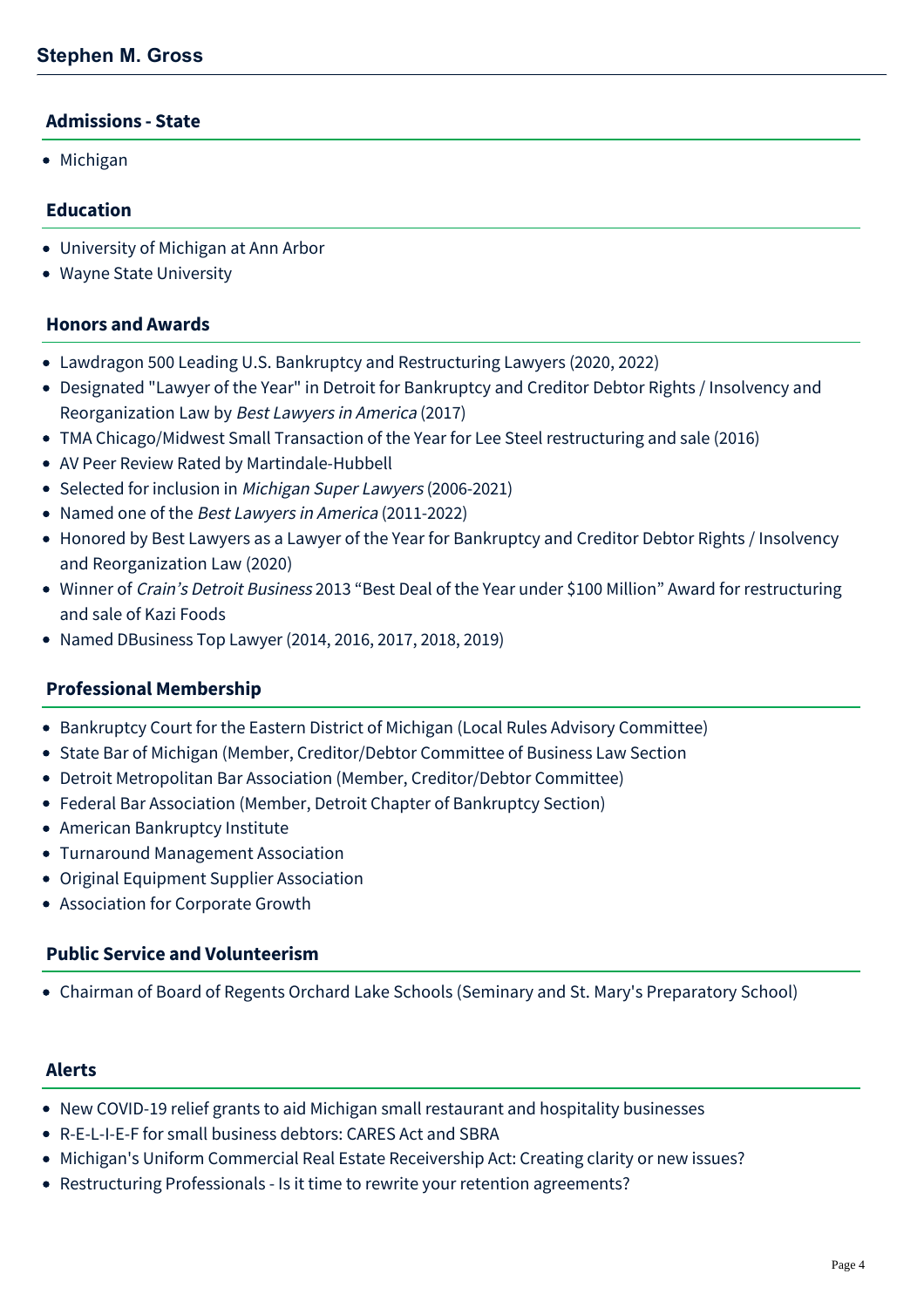#### **Admissions - State**

• Michigan

### **Education**

- University of Michigan at Ann Arbor
- Wayne State University

### **Honors and Awards**

- Lawdragon 500 Leading U.S. Bankruptcy and Restructuring Lawyers (2020, 2022)
- Designated "Lawyer of the Year" in Detroit for Bankruptcy and Creditor Debtor Rights / Insolvency and Reorganization Law by Best Lawyers in America (2017)
- TMA Chicago/Midwest Small Transaction of the Year for Lee Steel restructuring and sale (2016)
- AV Peer Review Rated by Martindale-Hubbell
- Selected for inclusion in [Michigan Super Lawyers](http://www.superlawyers.com/michigan/lawyer/Stephen-M-Gross/47f890bb-45e8-4722-b05c-525982dabf7b.html) (2006-2021)
- Named one of the Best Lawyers in America (2011-2022)
- Honored by Best Lawyers as a Lawyer of the Year for Bankruptcy and Creditor Debtor Rights / Insolvency and Reorganization Law (2020)
- Winner of Crain's Detroit Business 2013 "Best Deal of the Year under \$100 Million" Award for restructuring and sale of Kazi Foods
- Named DBusiness Top Lawyer (2014, 2016, 2017, 2018, 2019)

#### **Professional Membership**

- Bankruptcy Court for the Eastern District of Michigan (Local Rules Advisory Committee)
- State Bar of Michigan (Member, Creditor/Debtor Committee of Business Law Section
- Detroit Metropolitan Bar Association (Member, Creditor/Debtor Committee)
- Federal Bar Association (Member, Detroit Chapter of Bankruptcy Section)
- American Bankruptcy Institute
- Turnaround Management Association
- Original Equipment Supplier Association
- Association for Corporate Growth

#### **Public Service and Volunteerism**

Chairman of Board of Regents Orchard Lake Schools (Seminary and St. Mary's Preparatory School)

#### **Alerts**

- [New COVID-19 relief grants to aid Michigan small restaurant and hospitality businesses](https://mcdonaldhopkins.com/Insights/February-2022/ABR-grant-Michigan-small-businesses)
- [R-E-L-I-E-F for small business debtors: CARES Act and SBRA](https://mcdonaldhopkins.com/Insights/April-2020/Relief-for-small-business-debtors-CARES-Act-and-SB)
- [Michigan's Uniform Commercial Real Estate Receivership Act: Creating clarity or new issues?](https://mcdonaldhopkins.com/Insights/April-2018/Michigan-s-Uniform-Commercial-Real-Estate-Receiver)
- [Restructuring Professionals Is it time to rewrite your retention agreements?](https://mcdonaldhopkins.com/Insights/July-2016/Restructuring-Professionals-Is-it-time-to-rewrite)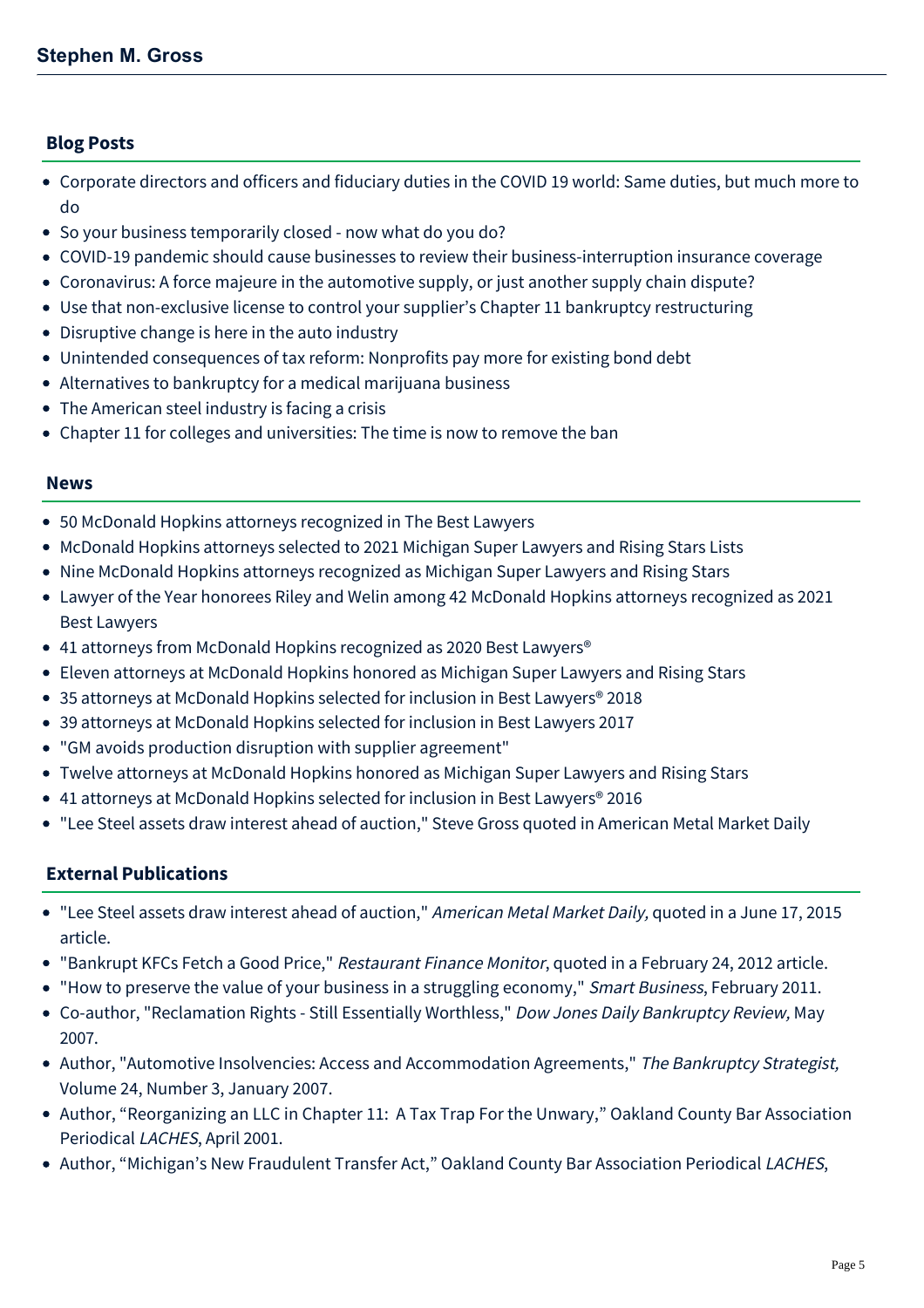## **Blog Posts**

- [Corporate directors and officers and fiduciary duties in the COVID 19 world: Same duties, but much more to](https://mcdonaldhopkins.com/Insights/May-2020/DO-and-fiduciary-duties-in-the-COVID19-world) do
- [So your business temporarily closed now what do you do?](https://mcdonaldhopkins.com/Insights/March-2020/So-your-business-temporarily-closed-now-what-do-yo)
- [COVID-19 pandemic should cause businesses to review their business-interruption insurance coverage](https://mcdonaldhopkins.com/Insights/March-2020/pandemic-should-cause-businesses-to-review-their-b)
- [Coronavirus: A force majeure in the automotive supply, or just another supply chain dispute?](https://mcdonaldhopkins.com/Insights/March-2020/Coronavirus-Force-Majeure-in-the-Automotive-Supply)
- [Use that non-exclusive license to control your supplier's Chapter 11 bankruptcy restructuring](https://mcdonaldhopkins.com/Insights/March-2020/Use-that-non-exclusive-license-to-control-your-sup)
- [Disruptive change is here in the auto industry](https://mcdonaldhopkins.com/Insights/January-2019/Disruptive-change-is-here-in-the-auto-industry)
- [Unintended consequences of tax reform: Nonprofits pay more for existing bond debt](https://mcdonaldhopkins.com/Insights/June-2018/Unintended-consequences-of-tax-reform)
- [Alternatives to bankruptcy for a medical marijuana business](https://mcdonaldhopkins.com/Insights/October-2015/Alternatives-to-bankruptcy-for-a-medical-marijuana)
- [The American steel industry is facing a crisis](https://mcdonaldhopkins.com/Insights/July-2015/The-American-steel-industry-is-facing-a-crisis)
- [Chapter 11 for colleges and universities: The time is now to remove the ban](https://mcdonaldhopkins.com/Insights/Febrary-2015/Chapter-11-for-colleges-and-universities-The-time)

#### **News**

- [50 McDonald Hopkins attorneys recognized in The Best Lawyers](https://mcdonaldhopkins.com/Insights/August-2021/50-McDonald-Hopkins-attorneys-recognized-in-The-Be)
- [McDonald Hopkins attorneys selected to 2021 Michigan Super Lawyers and Rising Stars Lists](https://mcdonaldhopkins.com/Insights/August-2021/McDonald-Hopkins-attorneys-selected-to-2021-Michig)
- [Nine McDonald Hopkins attorneys recognized as Michigan Super Lawyers and Rising Stars](https://mcdonaldhopkins.com/Insights/September-2020/Nine-McDonald-Hopkins-attorneys-recognized-as-Mich)
- [Lawyer of the Year honorees Riley and Welin among 42 McDonald Hopkins attorneys recognized as 2021](https://mcdonaldhopkins.com/Insights/August-2020/Lawyer-of-the-Year-honorees-Riley-and-Welin-among) Best Lawyers
- 41 attorneys from McDonald Hopkins recognized as 2020 Best Lawyers<sup>®</sup>
- [Eleven attorneys at McDonald Hopkins honored as Michigan Super Lawyers and Rising Stars](https://mcdonaldhopkins.com/Insights/September-2017/Eleven-attorneys-at-McDonald-Hopkins-honored-a-(1))
- [35 attorneys at McDonald Hopkins selected for inclusion in Best Lawyers® 2018](https://mcdonaldhopkins.com/Insights/August-2017/35-attorneys-at-McDonald-Hopkins-selected-for-incl)
- [39 attorneys at McDonald Hopkins selected for inclusion in Best Lawyers 2017](https://mcdonaldhopkins.com/Insights/August-2016/39-attorneys-at-McDonald-Hopkins-selected-for-incl)
- ["GM avoids production disruption with supplier agreement"](https://mcdonaldhopkins.com/Insights/July-2016/GM-avoids-production-disruption-with-supplier-agre)
- [Twelve attorneys at McDonald Hopkins honored as Michigan Super Lawyers and Rising Stars](https://mcdonaldhopkins.com/Insights/September-2015/Twelve-attorneys-at-McDonald-Hopkins-honored-as-Mi)
- 41 attorneys at McDonald Hopkins selected for inclusion in Best Lawyers<sup>®</sup> 2016
- ["Lee Steel assets draw interest ahead of auction," Steve Gross quoted in American Metal Market Daily](https://mcdonaldhopkins.com/Insights/June-2015/Lee-Steel-assets-draw-interest-ahead-of-auction-St)

## **External Publications**

- "Lee Steel assets draw interest ahead of auction," American Metal Market Daily, quoted in a June 17, 2015 article.
- "[Bankrupt KFCs Fetch a Good Price,](http://www.restfinance.com/content/story.php?article=00777)" Restaurant Finance Monitor, quoted in a February 24, 2012 article.
- "[How to preserve the value of your business in a struggling economy,](http://www.mcdonaldhopkins.com/news.aspx?id=_PLeLD-zH0G83TYztWM4TA)" Smart Business, February 2011.
- Co-author, "Reclamation Rights Still Essentially Worthless," Dow Jones Daily Bankruptcy Review, May 2007.
- Author, "Automotive Insolvencies: Access and Accommodation Agreements," The Bankruptcy Strategist, Volume 24, Number 3, January 2007.
- Author, "Reorganizing an LLC in Chapter 11: A Tax Trap For the Unwary," Oakland County Bar Association Periodical LACHES, April 2001.
- Author, "Michigan's New Fraudulent Transfer Act," Oakland County Bar Association Periodical LACHES,